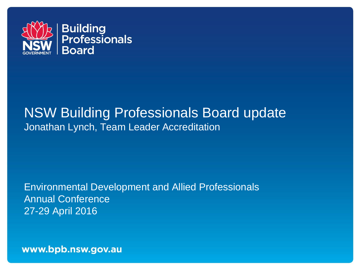

#### NSW Building Professionals Board update Jonathan Lynch, Team Leader Accreditation

Environmental Development and Allied Professionals Annual Conference 27-29 April 2016

www.bpb.nsw.gov.au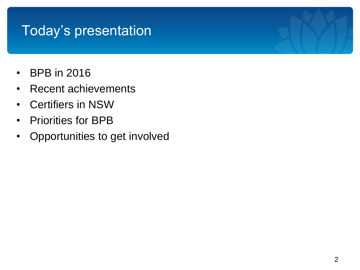#### Today's presentation

- BPB in 2016
- Recent achievements
- Certifiers in NSW
- Priorities for BPB
- Opportunities to get involved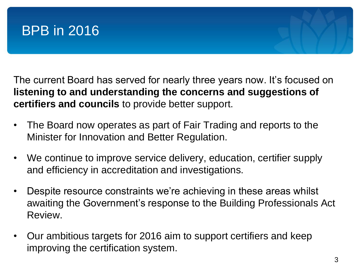

The current Board has served for nearly three years now. It's focused on **listening to and understanding the concerns and suggestions of certifiers and councils** to provide better support.

- The Board now operates as part of Fair Trading and reports to the Minister for Innovation and Better Regulation.
- We continue to improve service delivery, education, certifier supply and efficiency in accreditation and investigations.
- Despite resource constraints we're achieving in these areas whilst awaiting the Government's response to the Building Professionals Act Review.
- Our ambitious targets for 2016 aim to support certifiers and keep improving the certification system.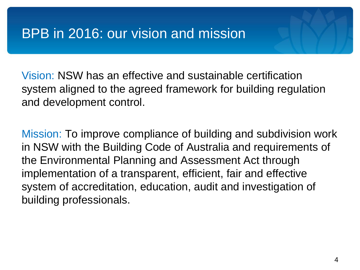#### BPB in 2016: our vision and mission

Vision: NSW has an effective and sustainable certification system aligned to the agreed framework for building regulation and development control.

Mission: To improve compliance of building and subdivision work in NSW with the Building Code of Australia and requirements of the Environmental Planning and Assessment Act through implementation of a transparent, efficient, fair and effective system of accreditation, education, audit and investigation of building professionals.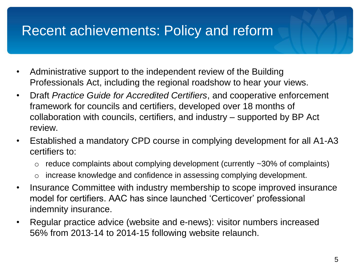#### Recent achievements: Policy and reform

- Administrative support to the independent review of the Building Professionals Act, including the regional roadshow to hear your views.
- Draft *Practice Guide for Accredited Certifiers*, and cooperative enforcement framework for councils and certifiers, developed over 18 months of collaboration with councils, certifiers, and industry – supported by BP Act review.
- Established a mandatory CPD course in complying development for all A1-A3 certifiers to:
	- $\circ$  reduce complaints about complying development (currently  $\sim$ 30% of complaints)
	- o increase knowledge and confidence in assessing complying development.
- Insurance Committee with industry membership to scope improved insurance model for certifiers. AAC has since launched 'Certicover' professional indemnity insurance.
- Regular practice advice (website and e-news): visitor numbers increased 56% from 2013-14 to 2014-15 following website relaunch.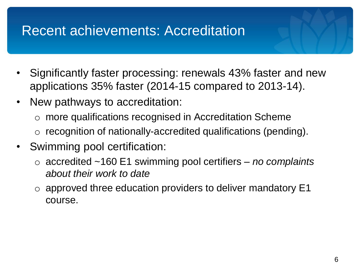#### Recent achievements: Accreditation

- Significantly faster processing: renewals 43% faster and new applications 35% faster (2014-15 compared to 2013-14).
- New pathways to accreditation:
	- o more qualifications recognised in Accreditation Scheme o recognition of nationally-accredited qualifications (pending).
- Swimming pool certification:
	- o accredited ~160 E1 swimming pool certifiers *no complaints about their work to date*
	- $\circ$  approved three education providers to deliver mandatory E1 course.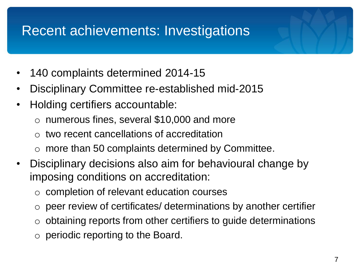#### Recent achievements: Investigations

- 140 complaints determined 2014-15
- Disciplinary Committee re-established mid-2015
- Holding certifiers accountable:
	- $\circ$  numerous fines, several \$10,000 and more
	- $\circ$  two recent cancellations of accreditation
	- $\circ$  more than 50 complaints determined by Committee.
- Disciplinary decisions also aim for behavioural change by imposing conditions on accreditation:
	- o completion of relevant education courses
	- o peer review of certificates/ determinations by another certifier
	- $\circ$  obtaining reports from other certifiers to guide determinations
	- $\circ$  periodic reporting to the Board.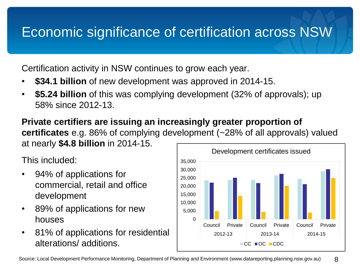## Economic significance of certification across NSW

Certification activity in NSW continues to grow each year.

- **\$34.1 billion** of new development was approved in 2014-15.
- **\$5.24 billion** of this was complying development (32% of approvals); up 58% since 2012-13.

**Private certifiers are issuing an increasingly greater proportion of certificates** e.g. 86% of complying development (~28% of all approvals) valued at nearly **\$4.8 billion** in 2014-15.

This included:

- 94% of applications for commercial, retail and office development
- 89% of applications for new houses
- 81% of applications for residential alterations/ additions.

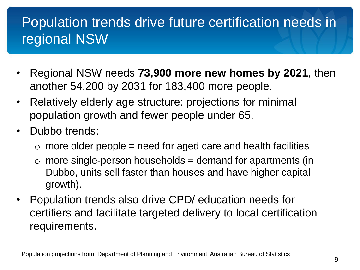# Population trends drive future certification needs in regional NSW

- Regional NSW needs **73,900 more new homes by 2021**, then another 54,200 by 2031 for 183,400 more people.
- Relatively elderly age structure: projections for minimal population growth and fewer people under 65.
- Dubbo trends:
	- $\circ$  more older people = need for aged care and health facilities
	- $\circ$  more single-person households = demand for apartments (in Dubbo, units sell faster than houses and have higher capital growth).
- Population trends also drive CPD/ education needs for certifiers and facilitate targeted delivery to local certification requirements.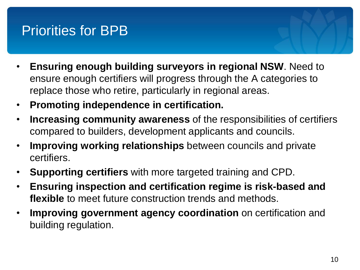## Priorities for BPB

- **Ensuring enough building surveyors in regional NSW**. Need to ensure enough certifiers will progress through the A categories to replace those who retire, particularly in regional areas.
- **Promoting independence in certification.**
- **Increasing community awareness** of the responsibilities of certifiers compared to builders, development applicants and councils.
- **Improving working relationships** between councils and private certifiers.
- **Supporting certifiers** with more targeted training and CPD.
- **Ensuring inspection and certification regime is risk-based and flexible** to meet future construction trends and methods.
- **Improving government agency coordination** on certification and building regulation.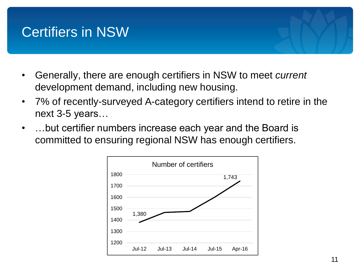#### Certifiers in NSW

- Generally, there are enough certifiers in NSW to meet *current* development demand, including new housing.
- 7% of recently-surveyed A-category certifiers intend to retire in the next 3-5 years…
- …but certifier numbers increase each year and the Board is committed to ensuring regional NSW has enough certifiers.

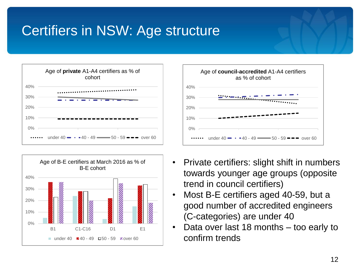# Certifiers in NSW: Age structure







- Private certifiers: slight shift in numbers towards younger age groups (opposite trend in council certifiers)
- Most B-E certifiers aged 40-59, but a good number of accredited engineers (C-categories) are under 40
- Data over last 18 months too early to confirm trends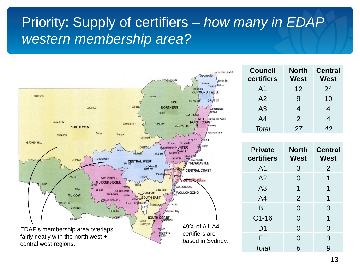## Priority: Supply of certifiers – *how many in EDAP western membership area?*



| <b>Council</b><br>certifiers | <b>North</b><br>West | <b>Central</b><br>West |
|------------------------------|----------------------|------------------------|
| A1                           | 12                   | 24                     |
| A <sub>2</sub>               | 9                    | 10                     |
| A <sub>3</sub>               | 4                    | 4                      |
| A4                           | 2                    | 4                      |
| Total                        | 27                   | 42                     |

| <b>Private</b><br>certifiers | <b>North</b><br>West | <b>Central</b><br>West |
|------------------------------|----------------------|------------------------|
| A <sub>1</sub>               | 3                    | 2                      |
| A <sub>2</sub>               | $\overline{0}$       | 1                      |
| A3                           | 1                    | 1                      |
| A <sub>4</sub>               | 2                    | 1                      |
| <b>B1</b>                    | $\Omega$             | $\Omega$               |
| $C1-16$                      | $\Omega$             | 1                      |
| D <sub>1</sub>               | $\overline{0}$       | 0                      |
| E <sub>1</sub>               | $\Omega$             | 3                      |
| Total                        | 6                    | 9                      |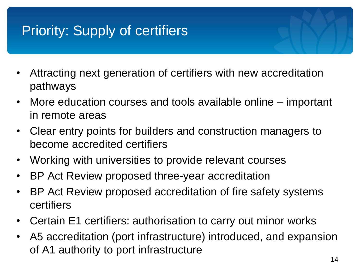# Priority: Supply of certifiers

- Attracting next generation of certifiers with new accreditation pathways
- More education courses and tools available online important in remote areas
- Clear entry points for builders and construction managers to become accredited certifiers
- Working with universities to provide relevant courses
- BP Act Review proposed three-year accreditation
- BP Act Review proposed accreditation of fire safety systems certifiers
- Certain E1 certifiers: authorisation to carry out minor works
- A5 accreditation (port infrastructure) introduced, and expansion of A1 authority to port infrastructure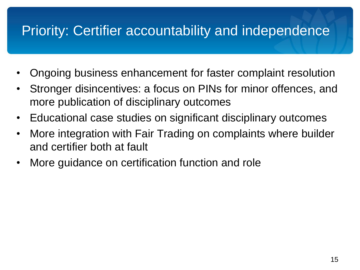### Priority: Certifier accountability and independence

- Ongoing business enhancement for faster complaint resolution
- Stronger disincentives: a focus on PINs for minor offences, and more publication of disciplinary outcomes
- Educational case studies on significant disciplinary outcomes
- More integration with Fair Trading on complaints where builder and certifier both at fault
- More guidance on certification function and role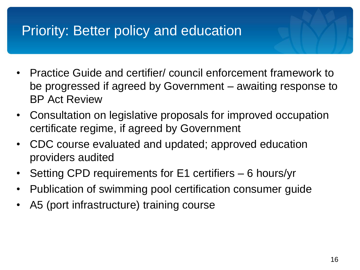#### Priority: Better policy and education

- Practice Guide and certifier/ council enforcement framework to be progressed if agreed by Government – awaiting response to BP Act Review
- Consultation on legislative proposals for improved occupation certificate regime, if agreed by Government
- CDC course evaluated and updated; approved education providers audited
- Setting CPD requirements for E1 certifiers 6 hours/yr
- Publication of swimming pool certification consumer guide
- A5 (port infrastructure) training course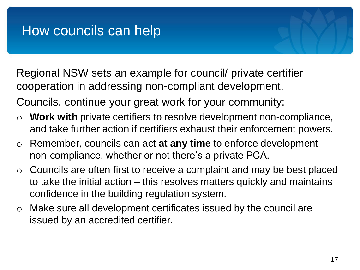#### How councils can help

Regional NSW sets an example for council/ private certifier cooperation in addressing non-compliant development.

Councils, continue your great work for your community:

- o **Work with** private certifiers to resolve development non-compliance, and take further action if certifiers exhaust their enforcement powers.
- o Remember, councils can act **at any time** to enforce development non-compliance, whether or not there's a private PCA.
- $\circ$  Councils are often first to receive a complaint and may be best placed to take the initial action – this resolves matters quickly and maintains confidence in the building regulation system.
- o Make sure all development certificates issued by the council are issued by an accredited certifier.